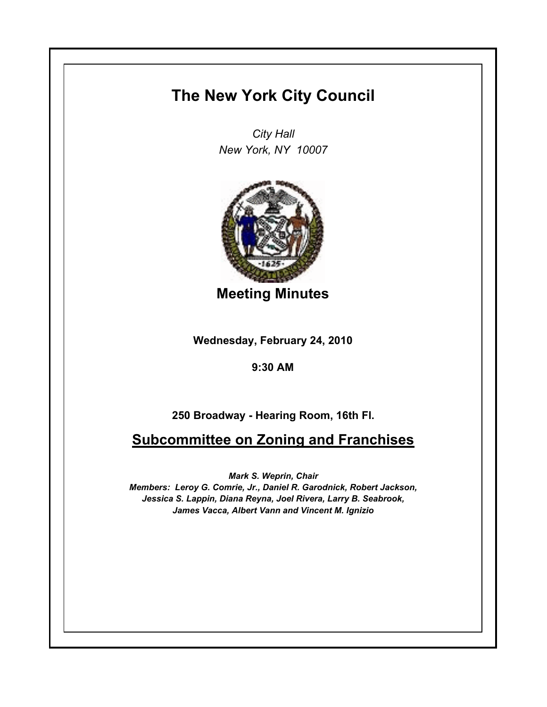## **The New York City Council**

*City Hall New York, NY 10007*



**Meeting Minutes**

**Wednesday, February 24, 2010**

**9:30 AM**

**250 Broadway - Hearing Room, 16th Fl.**

**Subcommittee on Zoning and Franchises**

*Mark S. Weprin, Chair*

*Members: Leroy G. Comrie, Jr., Daniel R. Garodnick, Robert Jackson, Jessica S. Lappin, Diana Reyna, Joel Rivera, Larry B. Seabrook, James Vacca, Albert Vann and Vincent M. Ignizio*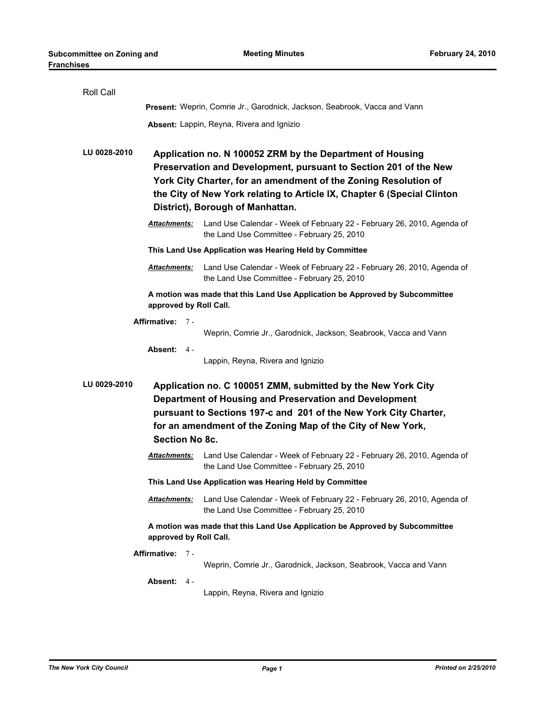| Roll Call                                                                                                                                                                                                                                                                                   |                                                                                                                                                                                                                                                                                                                 |                                                                                                                      |  |  |
|---------------------------------------------------------------------------------------------------------------------------------------------------------------------------------------------------------------------------------------------------------------------------------------------|-----------------------------------------------------------------------------------------------------------------------------------------------------------------------------------------------------------------------------------------------------------------------------------------------------------------|----------------------------------------------------------------------------------------------------------------------|--|--|
|                                                                                                                                                                                                                                                                                             | Present: Weprin, Comrie Jr., Garodnick, Jackson, Seabrook, Vacca and Vann                                                                                                                                                                                                                                       |                                                                                                                      |  |  |
|                                                                                                                                                                                                                                                                                             |                                                                                                                                                                                                                                                                                                                 | Absent: Lappin, Reyna, Rivera and Ignizio                                                                            |  |  |
| LU 0028-2010                                                                                                                                                                                                                                                                                | Application no. N 100052 ZRM by the Department of Housing<br>Preservation and Development, pursuant to Section 201 of the New<br>York City Charter, for an amendment of the Zoning Resolution of<br>the City of New York relating to Article IX, Chapter 6 (Special Clinton<br>District), Borough of Manhattan. |                                                                                                                      |  |  |
|                                                                                                                                                                                                                                                                                             | <b>Attachments:</b>                                                                                                                                                                                                                                                                                             | Land Use Calendar - Week of February 22 - February 26, 2010, Agenda of<br>the Land Use Committee - February 25, 2010 |  |  |
|                                                                                                                                                                                                                                                                                             | This Land Use Application was Hearing Held by Committee                                                                                                                                                                                                                                                         |                                                                                                                      |  |  |
|                                                                                                                                                                                                                                                                                             | <u>Attachments:</u>                                                                                                                                                                                                                                                                                             | Land Use Calendar - Week of February 22 - February 26, 2010, Agenda of<br>the Land Use Committee - February 25, 2010 |  |  |
|                                                                                                                                                                                                                                                                                             | approved by Roll Call.                                                                                                                                                                                                                                                                                          | A motion was made that this Land Use Application be Approved by Subcommittee                                         |  |  |
| Affirmative: 7-                                                                                                                                                                                                                                                                             |                                                                                                                                                                                                                                                                                                                 |                                                                                                                      |  |  |
|                                                                                                                                                                                                                                                                                             |                                                                                                                                                                                                                                                                                                                 | Weprin, Comrie Jr., Garodnick, Jackson, Seabrook, Vacca and Vann                                                     |  |  |
|                                                                                                                                                                                                                                                                                             | Absent: $4 -$                                                                                                                                                                                                                                                                                                   | Lappin, Reyna, Rivera and Ignizio                                                                                    |  |  |
| LU 0029-2010<br>Application no. C 100051 ZMM, submitted by the New York City<br>Department of Housing and Preservation and Development<br>pursuant to Sections 197-c and 201 of the New York City Charter,<br>for an amendment of the Zoning Map of the City of New York,<br>Section No 8c. |                                                                                                                                                                                                                                                                                                                 |                                                                                                                      |  |  |
|                                                                                                                                                                                                                                                                                             | <b>Attachments:</b>                                                                                                                                                                                                                                                                                             | Land Use Calendar - Week of February 22 - February 26, 2010, Agenda of<br>the Land Use Committee - February 25, 2010 |  |  |
| This Land Use Application was Hearing Held by Committee                                                                                                                                                                                                                                     |                                                                                                                                                                                                                                                                                                                 |                                                                                                                      |  |  |
|                                                                                                                                                                                                                                                                                             | <b>Attachments:</b>                                                                                                                                                                                                                                                                                             | Land Use Calendar - Week of February 22 - February 26, 2010, Agenda of<br>the Land Use Committee - February 25, 2010 |  |  |
| A motion was made that this Land Use Application be Approved by Subcommittee<br>approved by Roll Call.                                                                                                                                                                                      |                                                                                                                                                                                                                                                                                                                 |                                                                                                                      |  |  |
|                                                                                                                                                                                                                                                                                             | Affirmative: 7 -                                                                                                                                                                                                                                                                                                |                                                                                                                      |  |  |
|                                                                                                                                                                                                                                                                                             |                                                                                                                                                                                                                                                                                                                 | Weprin, Comrie Jr., Garodnick, Jackson, Seabrook, Vacca and Vann                                                     |  |  |
|                                                                                                                                                                                                                                                                                             | Absent: 4 -                                                                                                                                                                                                                                                                                                     | Lappin, Reyna, Rivera and Ignizio                                                                                    |  |  |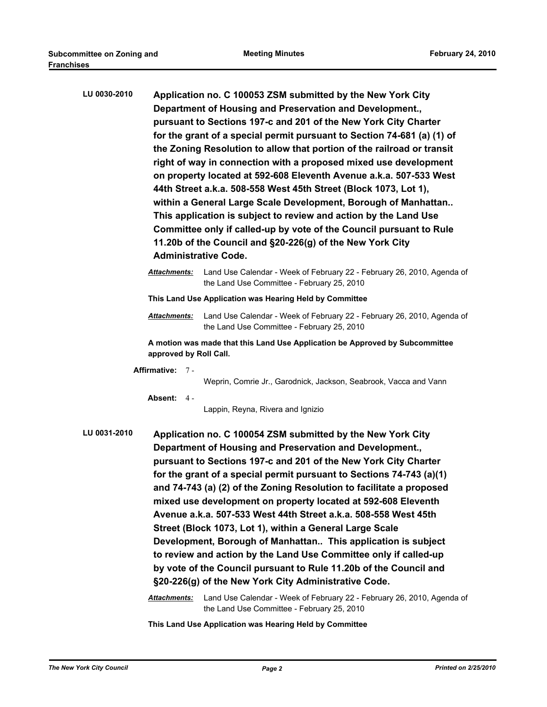| LU 0030-2010                                                                                           |                                                         | Application no. C 100053 ZSM submitted by the New York City<br>Department of Housing and Preservation and Development.,<br>pursuant to Sections 197-c and 201 of the New York City Charter<br>for the grant of a special permit pursuant to Section 74-681 (a) (1) of<br>the Zoning Resolution to allow that portion of the railroad or transit<br>right of way in connection with a proposed mixed use development<br>on property located at 592-608 Eleventh Avenue a.k.a. 507-533 West<br>44th Street a.k.a. 508-558 West 45th Street (Block 1073, Lot 1),<br>within a General Large Scale Development, Borough of Manhattan<br>This application is subject to review and action by the Land Use<br>Committee only if called-up by vote of the Council pursuant to Rule<br>11.20b of the Council and §20-226(g) of the New York City<br><b>Administrative Code.</b>                 |  |  |
|--------------------------------------------------------------------------------------------------------|---------------------------------------------------------|----------------------------------------------------------------------------------------------------------------------------------------------------------------------------------------------------------------------------------------------------------------------------------------------------------------------------------------------------------------------------------------------------------------------------------------------------------------------------------------------------------------------------------------------------------------------------------------------------------------------------------------------------------------------------------------------------------------------------------------------------------------------------------------------------------------------------------------------------------------------------------------|--|--|
|                                                                                                        | Attachments:                                            | Land Use Calendar - Week of February 22 - February 26, 2010, Agenda of<br>the Land Use Committee - February 25, 2010                                                                                                                                                                                                                                                                                                                                                                                                                                                                                                                                                                                                                                                                                                                                                                   |  |  |
|                                                                                                        | This Land Use Application was Hearing Held by Committee |                                                                                                                                                                                                                                                                                                                                                                                                                                                                                                                                                                                                                                                                                                                                                                                                                                                                                        |  |  |
|                                                                                                        | <u>Attachments:</u>                                     | Land Use Calendar - Week of February 22 - February 26, 2010, Agenda of<br>the Land Use Committee - February 25, 2010                                                                                                                                                                                                                                                                                                                                                                                                                                                                                                                                                                                                                                                                                                                                                                   |  |  |
| A motion was made that this Land Use Application be Approved by Subcommittee<br>approved by Roll Call. |                                                         |                                                                                                                                                                                                                                                                                                                                                                                                                                                                                                                                                                                                                                                                                                                                                                                                                                                                                        |  |  |
|                                                                                                        | Affirmative: 7-                                         |                                                                                                                                                                                                                                                                                                                                                                                                                                                                                                                                                                                                                                                                                                                                                                                                                                                                                        |  |  |
|                                                                                                        | Absent: $4 -$                                           | Weprin, Comrie Jr., Garodnick, Jackson, Seabrook, Vacca and Vann<br>Lappin, Reyna, Rivera and Ignizio                                                                                                                                                                                                                                                                                                                                                                                                                                                                                                                                                                                                                                                                                                                                                                                  |  |  |
| LU 0031-2010                                                                                           | Attachments:                                            | Application no. C 100054 ZSM submitted by the New York City<br>Department of Housing and Preservation and Development.,<br>pursuant to Sections 197-c and 201 of the New York City Charter<br>for the grant of a special permit pursuant to Sections 74-743 (a)(1)<br>and 74-743 (a) (2) of the Zoning Resolution to facilitate a proposed<br>mixed use development on property located at 592-608 Eleventh<br>Avenue a.k.a. 507-533 West 44th Street a.k.a. 508-558 West 45th<br>Street (Block 1073, Lot 1), within a General Large Scale<br>Development, Borough of Manhattan This application is subject<br>to review and action by the Land Use Committee only if called-up<br>by vote of the Council pursuant to Rule 11.20b of the Council and<br>§20-226(g) of the New York City Administrative Code.<br>Land Use Calendar - Week of February 22 - February 26, 2010, Agenda of |  |  |

the Land Use Committee - February 25, 2010

**This Land Use Application was Hearing Held by Committee**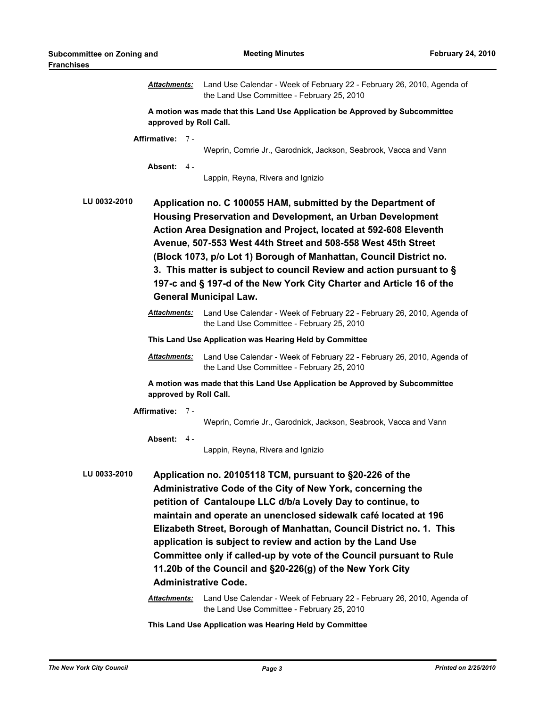|                                                                                                                                                                                                                                                                                                                                                                                                                                                                                                                                               | <u>Attachments:</u> | Land Use Calendar - Week of February 22 - February 26, 2010, Agenda of<br>the Land Use Committee - February 25, 2010                                                                                                                                                                                                                                                                                                                                                                                                                                                                                                                          |  |  |  |
|-----------------------------------------------------------------------------------------------------------------------------------------------------------------------------------------------------------------------------------------------------------------------------------------------------------------------------------------------------------------------------------------------------------------------------------------------------------------------------------------------------------------------------------------------|---------------------|-----------------------------------------------------------------------------------------------------------------------------------------------------------------------------------------------------------------------------------------------------------------------------------------------------------------------------------------------------------------------------------------------------------------------------------------------------------------------------------------------------------------------------------------------------------------------------------------------------------------------------------------------|--|--|--|
| A motion was made that this Land Use Application be Approved by Subcommittee<br>approved by Roll Call.                                                                                                                                                                                                                                                                                                                                                                                                                                        |                     |                                                                                                                                                                                                                                                                                                                                                                                                                                                                                                                                                                                                                                               |  |  |  |
|                                                                                                                                                                                                                                                                                                                                                                                                                                                                                                                                               | Affirmative: 7 -    |                                                                                                                                                                                                                                                                                                                                                                                                                                                                                                                                                                                                                                               |  |  |  |
|                                                                                                                                                                                                                                                                                                                                                                                                                                                                                                                                               |                     | Weprin, Comrie Jr., Garodnick, Jackson, Seabrook, Vacca and Vann                                                                                                                                                                                                                                                                                                                                                                                                                                                                                                                                                                              |  |  |  |
|                                                                                                                                                                                                                                                                                                                                                                                                                                                                                                                                               | Absent: 4 -         | Lappin, Reyna, Rivera and Ignizio                                                                                                                                                                                                                                                                                                                                                                                                                                                                                                                                                                                                             |  |  |  |
| <b>LU 0032-2010</b><br>Application no. C 100055 HAM, submitted by the Department of<br>Housing Preservation and Development, an Urban Development<br>Action Area Designation and Project, located at 592-608 Eleventh<br>Avenue, 507-553 West 44th Street and 508-558 West 45th Street<br>(Block 1073, p/o Lot 1) Borough of Manhattan, Council District no.<br>3. This matter is subject to council Review and action pursuant to §<br>197-c and § 197-d of the New York City Charter and Article 16 of the<br><b>General Municipal Law.</b> |                     |                                                                                                                                                                                                                                                                                                                                                                                                                                                                                                                                                                                                                                               |  |  |  |
|                                                                                                                                                                                                                                                                                                                                                                                                                                                                                                                                               | <b>Attachments:</b> | Land Use Calendar - Week of February 22 - February 26, 2010, Agenda of<br>the Land Use Committee - February 25, 2010                                                                                                                                                                                                                                                                                                                                                                                                                                                                                                                          |  |  |  |
| This Land Use Application was Hearing Held by Committee                                                                                                                                                                                                                                                                                                                                                                                                                                                                                       |                     |                                                                                                                                                                                                                                                                                                                                                                                                                                                                                                                                                                                                                                               |  |  |  |
|                                                                                                                                                                                                                                                                                                                                                                                                                                                                                                                                               | <b>Attachments:</b> | Land Use Calendar - Week of February 22 - February 26, 2010, Agenda of<br>the Land Use Committee - February 25, 2010                                                                                                                                                                                                                                                                                                                                                                                                                                                                                                                          |  |  |  |
| A motion was made that this Land Use Application be Approved by Subcommittee<br>approved by Roll Call.                                                                                                                                                                                                                                                                                                                                                                                                                                        |                     |                                                                                                                                                                                                                                                                                                                                                                                                                                                                                                                                                                                                                                               |  |  |  |
| Affirmative: 7 -                                                                                                                                                                                                                                                                                                                                                                                                                                                                                                                              |                     |                                                                                                                                                                                                                                                                                                                                                                                                                                                                                                                                                                                                                                               |  |  |  |
|                                                                                                                                                                                                                                                                                                                                                                                                                                                                                                                                               |                     | Weprin, Comrie Jr., Garodnick, Jackson, Seabrook, Vacca and Vann                                                                                                                                                                                                                                                                                                                                                                                                                                                                                                                                                                              |  |  |  |
|                                                                                                                                                                                                                                                                                                                                                                                                                                                                                                                                               | Absent: 4 -         | Lappin, Reyna, Rivera and Ignizio                                                                                                                                                                                                                                                                                                                                                                                                                                                                                                                                                                                                             |  |  |  |
| LU 0033-2010                                                                                                                                                                                                                                                                                                                                                                                                                                                                                                                                  | <b>Attachments:</b> | Application no. 20105118 TCM, pursuant to §20-226 of the<br>Administrative Code of the City of New York, concerning the<br>petition of Cantaloupe LLC d/b/a Lovely Day to continue, to<br>maintain and operate an unenclosed sidewalk café located at 196<br>Elizabeth Street, Borough of Manhattan, Council District no. 1. This<br>application is subject to review and action by the Land Use<br>Committee only if called-up by vote of the Council pursuant to Rule<br>11.20b of the Council and §20-226(g) of the New York City<br><b>Administrative Code.</b><br>Land Use Calendar - Week of February 22 - February 26, 2010, Agenda of |  |  |  |
|                                                                                                                                                                                                                                                                                                                                                                                                                                                                                                                                               |                     | the Land Use Committee - February 25, 2010                                                                                                                                                                                                                                                                                                                                                                                                                                                                                                                                                                                                    |  |  |  |

**This Land Use Application was Hearing Held by Committee**